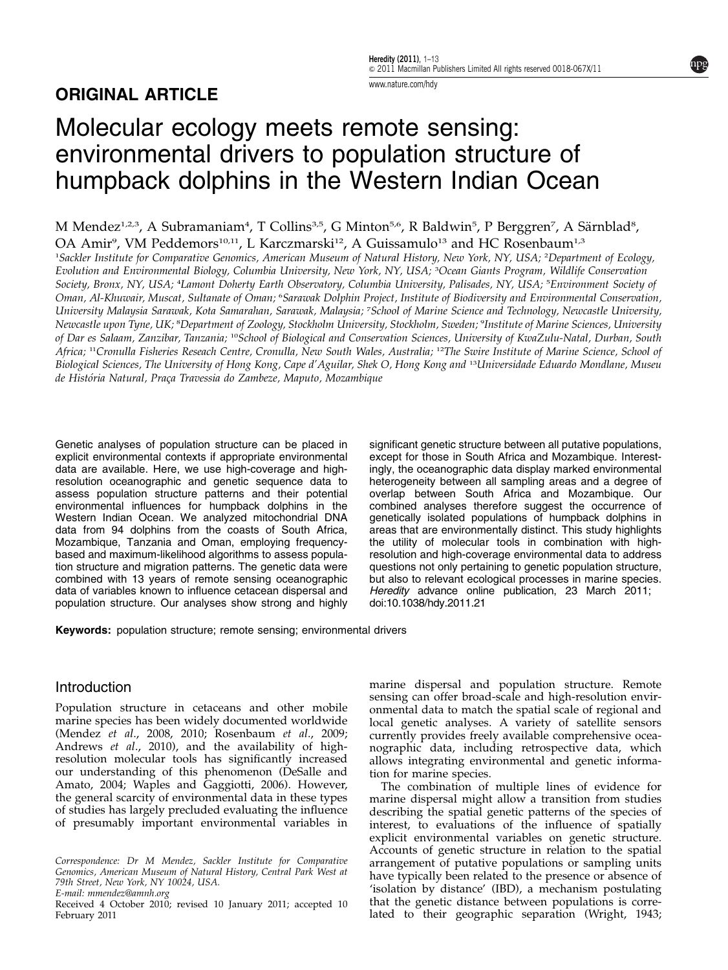# ORIGINAL ARTICLE

# Molecular ecology meets remote sensing: environmental drivers to population structure of humpback dolphins in the Western Indian Ocean

M Mendez<sup>1,2,3</sup>, A Subramaniam<sup>4</sup>, T Collins<sup>3,5</sup>, G Minton<sup>5,6</sup>, R Baldwin<sup>5</sup>, P Berggren<sup>7</sup>, A Särnblad<sup>8</sup>,

OA Amir<sup>9</sup>, VM Peddemors<sup>10,11</sup>, L Karczmarski<sup>12</sup>, A Guissamulo<sup>13</sup> and HC Rosenbaum<sup>1,3</sup>

1 Sackler Institute for Comparative Genomics, American Museum of Natural History, New York, NY, USA; <sup>2</sup> Department of Ecology, Evolution and Environmental Biology, Columbia University, New York, NY, USA; <sup>3</sup> Ocean Giants Program, Wildlife Conservation Society, Bronx, NY, USA; <sup>4</sup>Lamont Doherty Earth Observatory, Columbia University, Palisades, NY, USA; <sup>5</sup>Environment Society of Oman, Al-Khuwair, Muscat, Sultanate of Oman; <sup>6</sup>Sarawak Dolphin Project, Institute of Biodiversity and Environmental Conservation, University Malaysia Sarawak, Kota Samarahan, Sarawak, Malaysia; <sup>7</sup> School of Marine Science and Technology, Newcastle University, Newcastle upon Tyne, UK; <sup>s</sup>Department of Zoology, Stockholm University, Stockholm, Sweden; <sup>o</sup>Institute of Marine Sciences, University of Dar es Salaam, Zanzibar, Tanzania; <sup>10</sup>School of Biological and Conservation Sciences, University of KwaZulu-Natal, Durban, South Africa; <sup>11</sup>Cronulla Fisheries Reseach Centre, Cronulla, New South Wales, Australia; <sup>12</sup>The Swire Institute of Marine Science, School of Biological Sciences, The University of Hong Kong, Cape d'Aguilar, Shek O, Hong Kong and <sup>13</sup>Universidade Eduardo Mondlane, Museu de História Natural, Praça Travessia do Zambeze, Maputo, Mozambique

Genetic analyses of population structure can be placed in explicit environmental contexts if appropriate environmental data are available. Here, we use high-coverage and highresolution oceanographic and genetic sequence data to assess population structure patterns and their potential environmental influences for humpback dolphins in the Western Indian Ocean. We analyzed mitochondrial DNA data from 94 dolphins from the coasts of South Africa, Mozambique, Tanzania and Oman, employing frequencybased and maximum-likelihood algorithms to assess population structure and migration patterns. The genetic data were combined with 13 years of remote sensing oceanographic data of variables known to influence cetacean dispersal and population structure. Our analyses show strong and highly

significant genetic structure between all putative populations, except for those in South Africa and Mozambique. Interestingly, the oceanographic data display marked environmental heterogeneity between all sampling areas and a degree of overlap between South Africa and Mozambique. Our combined analyses therefore suggest the occurrence of genetically isolated populations of humpback dolphins in areas that are environmentally distinct. This study highlights the utility of molecular tools in combination with highresolution and high-coverage environmental data to address questions not only pertaining to genetic population structure, but also to relevant ecological processes in marine species. Heredity advance online publication, 23 March 2011; doi[:10.1038/hdy.2011.21](http://dx.doi.org/10.1038/hdy.2011.21)

Keywords: population structure; remote sensing; environmental drivers

## Introduction

Population structure in cetaceans and other mobile marine species has been widely documented worldwide (Mendez et al[., 2008, 2010](#page-12-0); [Rosenbaum](#page-12-0) et al., 2009; [Andrews](#page-11-0) et al., 2010), and the availability of highresolution molecular tools has significantly increased our understanding of this phenomenon [\(DeSalle and](#page-11-0) [Amato, 2004;](#page-11-0) [Waples and Gaggiotti, 2006\)](#page-12-0). However, the general scarcity of environmental data in these types of studies has largely precluded evaluating the influence of presumably important environmental variables in

Correspondence: Dr M Mendez, Sackler Institute for Comparative Genomics, American Museum of Natural History, Central Park West at 79th Street, New York, NY 10024, USA.

E-mail: [mmendez@amnh.org](mailto:mmendez@amnh.org)

February 2011

marine dispersal and population structure. Remote sensing can offer broad-scale and high-resolution environmental data to match the spatial scale of regional and local genetic analyses. A variety of satellite sensors currently provides freely available comprehensive oceanographic data, including retrospective data, which allows integrating environmental and genetic information for marine species.

The combination of multiple lines of evidence for marine dispersal might allow a transition from studies describing the spatial genetic patterns of the species of interest, to evaluations of the influence of spatially explicit environmental variables on genetic structure. Accounts of genetic structure in relation to the spatial arrangement of putative populations or sampling units have typically been related to the presence or absence of 'isolation by distance' (IBD), a mechanism postulating that the genetic distance between populations is corre-Received 4 October 2010; revised 10 January 2011; accepted 10 that the genetic distance between populations is corre-<br>February 2011 **Exercepted 10** Tated to their geographic separation [\(Wright, 1943](#page-12-0);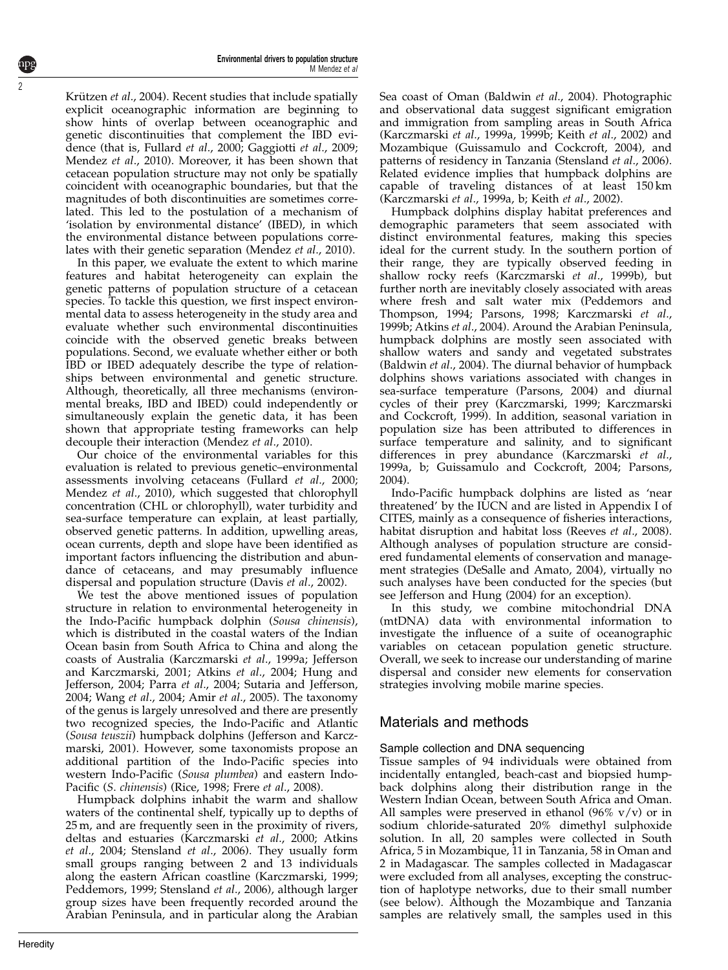Krützen et al., 2004). Recent studies that include spatially explicit oceanographic information are beginning to show hints of overlap between oceanographic and genetic discontinuities that complement the IBD evidence (that is, [Fullard](#page-11-0) et al., 2000; [Gaggiotti](#page-11-0) et al., 2009; [Mendez](#page-12-0) et al., 2010). Moreover, it has been shown that cetacean population structure may not only be spatially coincident with oceanographic boundaries, but that the magnitudes of both discontinuities are sometimes correlated. This led to the postulation of a mechanism of 'isolation by environmental distance' (IBED), in which the environmental distance between populations correlates with their genetic separation [\(Mendez](#page-12-0) et al., 2010).

In this paper, we evaluate the extent to which marine features and habitat heterogeneity can explain the genetic patterns of population structure of a cetacean species. To tackle this question, we first inspect environmental data to assess heterogeneity in the study area and evaluate whether such environmental discontinuities coincide with the observed genetic breaks between populations. Second, we evaluate whether either or both IBD or IBED adequately describe the type of relationships between environmental and genetic structure. Although, theoretically, all three mechanisms (environmental breaks, IBD and IBED) could independently or simultaneously explain the genetic data, it has been shown that appropriate testing frameworks can help decouple their interaction [\(Mendez](#page-12-0) et al., 2010).

Our choice of the environmental variables for this evaluation is related to previous genetic–environmental assessments involving cetaceans [\(Fullard](#page-11-0) et al., 2000; [Mendez](#page-12-0) et al., 2010), which suggested that chlorophyll concentration (CHL or chlorophyll), water turbidity and sea-surface temperature can explain, at least partially, observed genetic patterns. In addition, upwelling areas, ocean currents, depth and slope have been identified as important factors influencing the distribution and abundance of cetaceans, and may presumably influence dispersal and population structure (Davis et al[., 2002\)](#page-11-0).

We test the above mentioned issues of population structure in relation to environmental heterogeneity in the Indo-Pacific humpback dolphin (Sousa chinensis), which is distributed in the coastal waters of the Indian Ocean basin from South Africa to China and along the coasts of Australia ([Karczmarski](#page-11-0) et al., 1999a; [Jefferson](#page-11-0) [and Karczmarski, 2001;](#page-11-0) Atkins et al[., 2004; Hung and](#page-11-0) [Jefferson, 2004;](#page-11-0) Parra et al[., 2004; Sutaria and Jefferson,](#page-12-0) [2004;](#page-12-0) Wang et al[., 2004;](#page-12-0) Amir et al[., 2005](#page-11-0)). The taxonomy of the genus is largely unresolved and there are presently two recognized species, the Indo-Pacific and Atlantic (Sousa teuszii) humpback dolphins [\(Jefferson and Karcz](#page-11-0)[marski, 2001](#page-11-0)). However, some taxonomists propose an additional partition of the Indo-Pacific species into western Indo-Pacific (Sousa plumbea) and eastern Indo-Pacific (S. chinensis) ([Rice, 1998](#page-12-0); Frere et al[., 2008](#page-11-0)).

Humpback dolphins inhabit the warm and shallow waters of the continental shelf, typically up to depths of 25 m, and are frequently seen in the proximity of rivers, deltas and estuaries ([Karczmarski](#page-12-0) et al., 2000; [Atkins](#page-11-0) et al[., 2004;](#page-11-0) [Stensland](#page-12-0) et al., 2006). They usually form small groups ranging between 2 and 13 individuals along the eastern African coastline [\(Karczmarski, 1999;](#page-11-0) [Peddemors, 1999; Stensland](#page-12-0) et al., 2006), although larger group sizes have been frequently recorded around the Arabian Peninsula, and in particular along the Arabian Sea coast of Oman ([Baldwin](#page-11-0) et al., 2004). Photographic and observational data suggest significant emigration and immigration from sampling areas in South Africa (Karczmarski et al[., 1999a, 1999b](#page-11-0); Keith et al[., 2002](#page-12-0)) and Mozambique ([Guissamulo and Cockcroft, 2004](#page-11-0)), and patterns of residency in Tanzania [\(Stensland](#page-12-0) et al., 2006). Related evidence implies that humpback dolphins are capable of traveling distances of at least 150 km ([Karczmarski](#page-11-0) et al., 1999a, b; Keith et al[., 2002](#page-12-0)).

Humpback dolphins display habitat preferences and demographic parameters that seem associated with distinct environmental features, making this species ideal for the current study. In the southern portion of their range, they are typically observed feeding in shallow rocky reefs [\(Karczmarski](#page-12-0) et al., 1999b), but further north are inevitably closely associated with areas where fresh and salt water mix [\(Peddemors and](#page-12-0) [Thompson, 1994](#page-12-0); [Parsons, 1998; Karczmarski](#page-12-0) et al., [1999b](#page-12-0); [Atkins](#page-11-0) et al., 2004). Around the Arabian Peninsula, humpback dolphins are mostly seen associated with shallow waters and sandy and vegetated substrates ([Baldwin](#page-11-0) et al., 2004). The diurnal behavior of humpback dolphins shows variations associated with changes in sea-surface temperature ([Parsons, 2004](#page-12-0)) and diurnal cycles of their prey ([Karczmarski, 1999; Karczmarski](#page-11-0) [and Cockcroft, 1999\)](#page-11-0). In addition, seasonal variation in population size has been attributed to differences in surface temperature and salinity, and to significant differences in prey abundance [\(Karczmarski](#page-11-0) et al., [1999a, b; Guissamulo and Cockcroft, 2004;](#page-11-0) [Parsons,](#page-12-0) [2004\)](#page-12-0).

Indo-Pacific humpback dolphins are listed as 'near threatened' by the IUCN and are listed in Appendix I of CITES, mainly as a consequence of fisheries interactions, habitat disruption and habitat loss ([Reeves](#page-12-0) et al., 2008). Although analyses of population structure are considered fundamental elements of conservation and management strategies [\(DeSalle and Amato, 2004\)](#page-11-0), virtually no such analyses have been conducted for the species (but see [Jefferson and Hung \(2004\)](#page-11-0) for an exception).

In this study, we combine mitochondrial DNA (mtDNA) data with environmental information to investigate the influence of a suite of oceanographic variables on cetacean population genetic structure. Overall, we seek to increase our understanding of marine dispersal and consider new elements for conservation strategies involving mobile marine species.

## Materials and methods

## Sample collection and DNA sequencing

Tissue samples of 94 individuals were obtained from incidentally entangled, beach-cast and biopsied humpback dolphins along their distribution range in the Western Indian Ocean, between South Africa and Oman. All samples were preserved in ethanol (96%  $v/v$ ) or in sodium chloride-saturated 20% dimethyl sulphoxide solution. In all, 20 samples were collected in South Africa, 5 in Mozambique, 11 in Tanzania, 58 in Oman and 2 in Madagascar. The samples collected in Madagascar were excluded from all analyses, excepting the construction of haplotype networks, due to their small number (see below). Although the Mozambique and Tanzania samples are relatively small, the samples used in this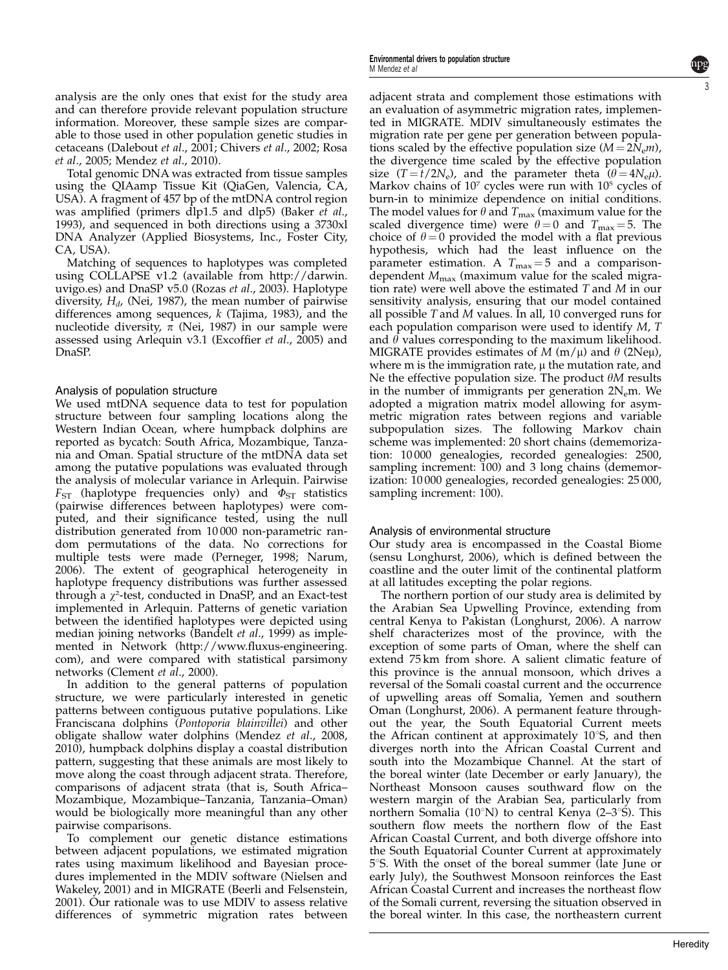analysis are the only ones that exist for the study area and can therefore provide relevant population structure information. Moreover, these sample sizes are comparable to those used in other population genetic studies in cetaceans ([Dalebout](#page-11-0) et al., 2001; [Chivers](#page-11-0) et al., 2002; [Rosa](#page-12-0) et al[., 2005](#page-12-0); [Mendez](#page-12-0) et al., 2010).

Total genomic DNA was extracted from tissue samples using the QIAamp Tissue Kit (QiaGen, Valencia, CA, USA). A fragment of 457 bp of the mtDNA control region was amplified (primers  $d$ lp1.5 and  $d$ lp5) [\(Baker](#page-11-0) et al., [1993](#page-11-0)), and sequenced in both directions using a 3730xl DNA Analyzer (Applied Biosystems, Inc., Foster City, CA, USA).

Matching of sequences to haplotypes was completed using COLLAPSE v1.2 (available from http://darwin. uvigo.es) and DnaSP v5.0 (Rozas et al[., 2003](#page-12-0)). Haplotype diversity,  $H_d$ , [\(Nei, 1987\)](#page-12-0), the mean number of pairwise differences among sequences,  $k$  ([Tajima, 1983\)](#page-12-0), and the nucleotide diversity,  $\pi$  [\(Nei, 1987](#page-12-0)) in our sample were assessed using Arlequin v3.1 ([Excoffier](#page-11-0) et al., 2005) and DnaSP.

#### Analysis of population structure

We used mtDNA sequence data to test for population structure between four sampling locations along the Western Indian Ocean, where humpback dolphins are reported as bycatch: South Africa, Mozambique, Tanzania and Oman. Spatial structure of the mtDNA data set among the putative populations was evaluated through the analysis of molecular variance in Arlequin. Pairwise  $F_{ST}$  (haplotype frequencies only) and  $\Phi_{ST}$  statistics (pairwise differences between haplotypes) were computed, and their significance tested, using the null distribution generated from 10 000 non-parametric random permutations of the data. No corrections for multiple tests were made [\(Perneger, 1998; Narum,](#page-12-0) [2006](#page-12-0)). The extent of geographical heterogeneity in haplotype frequency distributions was further assessed through a  $\chi^2$ -test, conducted in DnaSP, and an Exact-test implemented in Arlequin. Patterns of genetic variation between the identified haplotypes were depicted using median joining networks ([Bandelt](#page-11-0) et al., 1999) as implemented in Network ([http://www.fluxus-engineering.](http://www.fluxus-engineering.com) [com](http://www.fluxus-engineering.com)), and were compared with statistical parsimony networks ([Clement](#page-11-0) et al., 2000).

In addition to the general patterns of population structure, we were particularly interested in genetic patterns between contiguous putative populations. Like Franciscana dolphins (Pontoporia blainvillei) and other obligate shallow water dolphins ([Mendez](#page-12-0) et al., 2008, [2010](#page-12-0)), humpback dolphins display a coastal distribution pattern, suggesting that these animals are most likely to move along the coast through adjacent strata. Therefore, comparisons of adjacent strata (that is, South Africa– Mozambique, Mozambique–Tanzania, Tanzania–Oman) would be biologically more meaningful than any other pairwise comparisons.

To complement our genetic distance estimations between adjacent populations, we estimated migration rates using maximum likelihood and Bayesian procedures implemented in the MDIV software ([Nielsen and](#page-12-0) [Wakeley, 2001](#page-12-0)) and in MIGRATE ([Beerli and Felsenstein,](#page-11-0) [2001](#page-11-0)). Our rationale was to use MDIV to assess relative differences of symmetric migration rates between adjacent strata and complement those estimations with an evaluation of asymmetric migration rates, implemented in MIGRATE. MDIV simultaneously estimates the migration rate per gene per generation between populations scaled by the effective population size  $(M = 2N_{\rm e}m)$ , the divergence time scaled by the effective population size (T =  $t/2N_e$ ), and the parameter theta ( $\theta = 4N_e\mu$ ). Markov chains of  $10<sup>7</sup>$  cycles were run with  $10<sup>5</sup>$  cycles of burn-in to minimize dependence on initial conditions. The model values for  $\theta$  and  $T_{\text{max}}$  (maximum value for the scaled divergence time) were  $\theta = 0$  and  $T_{\text{max}} = 5$ . The choice of  $\theta = 0$  provided the model with a flat previous hypothesis, which had the least influence on the parameter estimation. A  $T_{\text{max}} = 5$  and a comparisondependent  $M_{\text{max}}$  (maximum value for the scaled migration rate) were well above the estimated T and M in our sensitivity analysis, ensuring that our model contained all possible T and M values. In all, 10 converged runs for each population comparison were used to identify M, T and  $\theta$  values corresponding to the maximum likelihood. MIGRATE provides estimates of M  $(m/\mu)$  and  $\theta$  (2Ne $\mu$ ), where  $m$  is the immigration rate,  $\mu$  the mutation rate, and Ne the effective population size. The product  $\theta M$  results in the number of immigrants per generation  $2N_{e}$ m. We adopted a migration matrix model allowing for asymmetric migration rates between regions and variable subpopulation sizes. The following Markov chain scheme was implemented: 20 short chains (dememorization: 10 000 genealogies, recorded genealogies: 2500, sampling increment: 100) and 3 long chains (dememorization: 10 000 genealogies, recorded genealogies: 25 000, sampling increment: 100).

#### Analysis of environmental structure

Our study area is encompassed in the Coastal Biome (sensu [Longhurst, 2006\)](#page-12-0), which is defined between the coastline and the outer limit of the continental platform at all latitudes excepting the polar regions.

The northern portion of our study area is delimited by the Arabian Sea Upwelling Province, extending from central Kenya to Pakistan ([Longhurst, 2006\)](#page-12-0). A narrow shelf characterizes most of the province, with the exception of some parts of Oman, where the shelf can extend 75 km from shore. A salient climatic feature of this province is the annual monsoon, which drives a reversal of the Somali coastal current and the occurrence of upwelling areas off Somalia, Yemen and southern Oman ([Longhurst, 2006](#page-12-0)). A permanent feature throughout the year, the South Equatorial Current meets the African continent at approximately  $10^{\circ}$ S, and then diverges north into the African Coastal Current and south into the Mozambique Channel. At the start of the boreal winter (late December or early January), the Northeast Monsoon causes southward flow on the western margin of the Arabian Sea, particularly from northern Somalia (10 $\textdegree$ N) to central Kenya (2–3 $\textdegree$ S). This southern flow meets the northern flow of the East African Coastal Current, and both diverge offshore into the South Equatorial Counter Current at approximately 5°S. With the onset of the boreal summer (late June or early July), the Southwest Monsoon reinforces the East African Coastal Current and increases the northeast flow of the Somali current, reversing the situation observed in the boreal winter. In this case, the northeastern current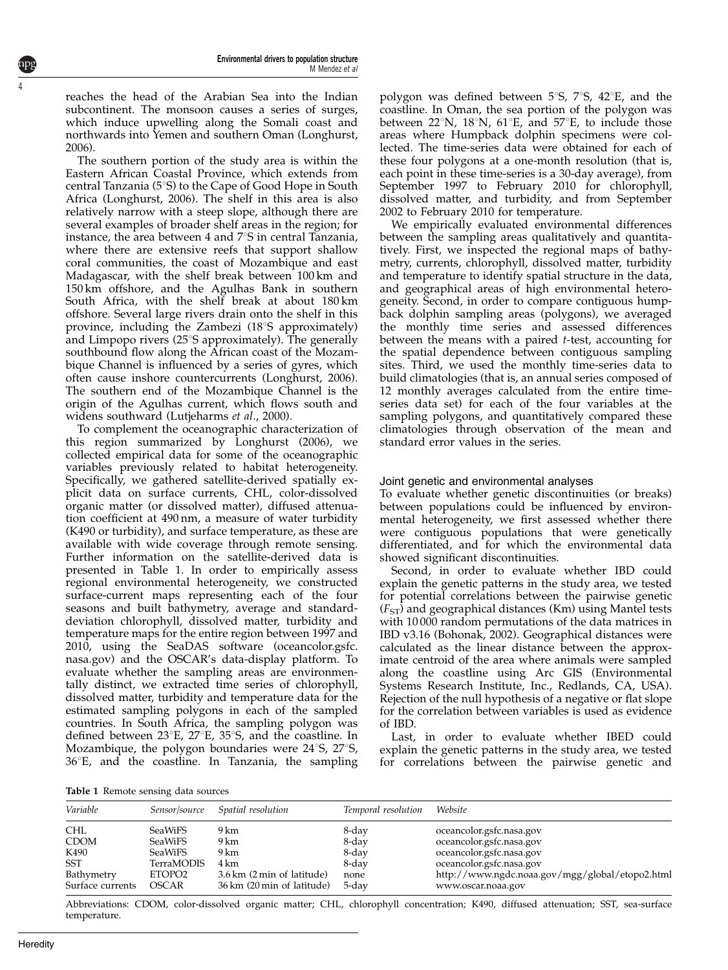reaches the head of the Arabian Sea into the Indian subcontinent. The monsoon causes a series of surges, which induce upwelling along the Somali coast and northwards into Yemen and southern Oman ([Longhurst,](#page-12-0) [2006\)](#page-12-0).

The southern portion of the study area is within the Eastern African Coastal Province, which extends from central Tanzania (5°S) to the Cape of Good Hope in South Africa [\(Longhurst, 2006\)](#page-12-0). The shelf in this area is also relatively narrow with a steep slope, although there are several examples of broader shelf areas in the region; for instance, the area between 4 and  $7^{\circ}$ S in central Tanzania, where there are extensive reefs that support shallow coral communities, the coast of Mozambique and east Madagascar, with the shelf break between 100 km and 150 km offshore, and the Agulhas Bank in southern South Africa, with the shelf break at about 180 km offshore. Several large rivers drain onto the shelf in this province, including the Zambezi  $(18°S$  approximately) and Limpopo rivers (25°S approximately). The generally southbound flow along the African coast of the Mozambique Channel is influenced by a series of gyres, which often cause inshore countercurrents ([Longhurst, 2006](#page-12-0)). The southern end of the Mozambique Channel is the origin of the Agulhas current, which flows south and widens southward [\(Lutjeharms](#page-12-0) et al., 2000).

To complement the oceanographic characterization of this region summarized by [Longhurst \(2006\),](#page-12-0) we collected empirical data for some of the oceanographic variables previously related to habitat heterogeneity. Specifically, we gathered satellite-derived spatially explicit data on surface currents, CHL, color-dissolved organic matter (or dissolved matter), diffused attenuation coefficient at 490 nm, a measure of water turbidity (K490 or turbidity), and surface temperature, as these are available with wide coverage through remote sensing. Further information on the satellite-derived data is presented in Table 1. In order to empirically assess regional environmental heterogeneity, we constructed surface-current maps representing each of the four seasons and built bathymetry, average and standarddeviation chlorophyll, dissolved matter, turbidity and temperature maps for the entire region between 1997 and 2010, using the SeaDAS software (oceancolor.gsfc. nasa.gov) and the OSCAR's data-display platform. To evaluate whether the sampling areas are environmentally distinct, we extracted time series of chlorophyll, dissolved matter, turbidity and temperature data for the estimated sampling polygons in each of the sampled countries. In South Africa, the sampling polygon was defined between  $23^{\circ}E$ ,  $27^{\circ}E$ ,  $35^{\circ}S$ , and the coastline. In Mozambique, the polygon boundaries were  $24^{\circ}$ S,  $27^{\circ}$ S,  $36^{\circ}$ E, and the coastline. In Tanzania, the sampling polygon was defined between  $5^{\circ}$ S,  $7^{\circ}$ S,  $42^{\circ}$ E, and the coastline. In Oman, the sea portion of the polygon was between  $22^{\circ}$ N,  $18^{\circ}$ N,  $61^{\circ}$ E, and  $57^{\circ}$ E, to include those areas where Humpback dolphin specimens were collected. The time-series data were obtained for each of these four polygons at a one-month resolution (that is, each point in these time-series is a 30-day average), from September 1997 to February 2010 for chlorophyll, dissolved matter, and turbidity, and from September 2002 to February 2010 for temperature.

We empirically evaluated environmental differences between the sampling areas qualitatively and quantitatively. First, we inspected the regional maps of bathymetry, currents, chlorophyll, dissolved matter, turbidity and temperature to identify spatial structure in the data, and geographical areas of high environmental heterogeneity. Second, in order to compare contiguous humpback dolphin sampling areas (polygons), we averaged the monthly time series and assessed differences between the means with a paired t-test, accounting for the spatial dependence between contiguous sampling sites. Third, we used the monthly time-series data to build climatologies (that is, an annual series composed of 12 monthly averages calculated from the entire timeseries data set) for each of the four variables at the sampling polygons, and quantitatively compared these climatologies through observation of the mean and standard error values in the series.

#### Joint genetic and environmental analyses

To evaluate whether genetic discontinuities (or breaks) between populations could be influenced by environmental heterogeneity, we first assessed whether there were contiguous populations that were genetically differentiated, and for which the environmental data showed significant discontinuities.

Second, in order to evaluate whether IBD could explain the genetic patterns in the study area, we tested for potential correlations between the pairwise genetic  $(F<sub>ST</sub>)$  and geographical distances (Km) using Mantel tests with 10 000 random permutations of the data matrices in IBD v3.16 [\(Bohonak, 2002\)](#page-11-0). Geographical distances were calculated as the linear distance between the approximate centroid of the area where animals were sampled along the coastline using Arc GIS (Environmental Systems Research Institute, Inc., Redlands, CA, USA). Rejection of the null hypothesis of a negative or flat slope for the correlation between variables is used as evidence of IBD.

Last, in order to evaluate whether IBED could explain the genetic patterns in the study area, we tested for correlations between the pairwise genetic and

Table 1 Remote sensing data sources

| Variable                                                                          | Sensor/source                                                                                   | Spatial resolution                                                                       | Temporal resolution                               | Website                                                                                                                                                                               |
|-----------------------------------------------------------------------------------|-------------------------------------------------------------------------------------------------|------------------------------------------------------------------------------------------|---------------------------------------------------|---------------------------------------------------------------------------------------------------------------------------------------------------------------------------------------|
| <b>CHL</b><br><b>CDOM</b><br>K490<br><b>SST</b><br>Bathymetry<br>Surface currents | <b>SeaWiFS</b><br><b>SeaWiFS</b><br><b>SeaWiFS</b><br>TerraMODIS<br>ETOPO <sub>2</sub><br>OSCAR | 9 km<br>9 km<br>9 km<br>4 km<br>3.6 km (2 min of latitude)<br>36 km (20 min of latitude) | 8-day<br>8-day<br>8-day<br>8-day<br>none<br>5-day | oceancolor.gsfc.nasa.gov<br>oceancolor.gsfc.nasa.gov<br>oceancolor.gsfc.nasa.gov<br>oceancolor.gsfc.nasa.gov<br>http://www.ngdc.noaa.gov/mgg/global/etopo2.html<br>www.oscar.noaa.gov |

Abbreviations: CDOM, color-dissolved organic matter; CHL, chlorophyll concentration; K490, diffused attenuation; SST, sea-surface temperature.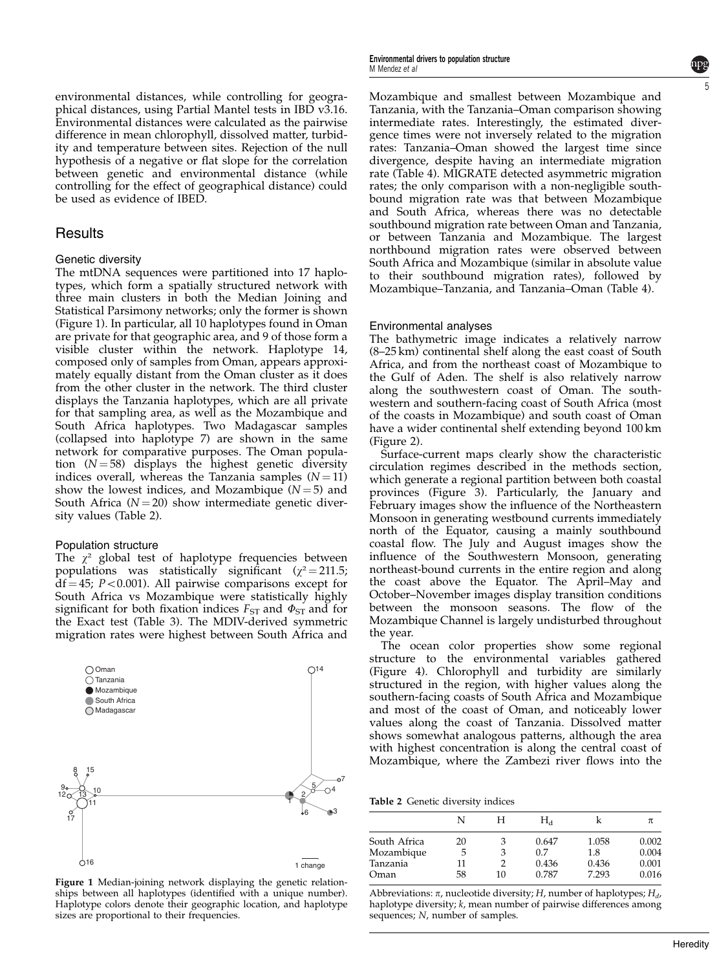environmental distances, while controlling for geographical distances, using Partial Mantel tests in IBD v3.16. Environmental distances were calculated as the pairwise difference in mean chlorophyll, dissolved matter, turbidity and temperature between sites. Rejection of the null hypothesis of a negative or flat slope for the correlation between genetic and environmental distance (while controlling for the effect of geographical distance) could be used as evidence of IBED.

#### **Results**

#### Genetic diversity

The mtDNA sequences were partitioned into 17 haplotypes, which form a spatially structured network with three main clusters in both the Median Joining and Statistical Parsimony networks; only the former is shown (Figure 1). In particular, all 10 haplotypes found in Oman are private for that geographic area, and 9 of those form a visible cluster within the network. Haplotype 14, composed only of samples from Oman, appears approximately equally distant from the Oman cluster as it does from the other cluster in the network. The third cluster displays the Tanzania haplotypes, which are all private for that sampling area, as well as the Mozambique and South Africa haplotypes. Two Madagascar samples (collapsed into haplotype 7) are shown in the same network for comparative purposes. The Oman population  $(N = 58)$  displays the highest genetic diversity indices overall, whereas the Tanzania samples  $(N = 11)$ show the lowest indices, and Mozambique  $(N = 5)$  and South Africa ( $N = 20$ ) show intermediate genetic diversity values (Table 2).

#### Population structure

The  $\chi^2$  global test of haplotype frequencies between populations was statistically significant ( $\chi^2$  = 211.5;  $df = 45$ ;  $P < 0.001$ ). All pairwise comparisons except for South Africa vs Mozambique were statistically highly significant for both fixation indices  $F_{ST}$  and  $\Phi_{ST}$  and for the Exact test ([Table 3](#page-5-0)). The MDIV-derived symmetric migration rates were highest between South Africa and



Figure 1 Median-joining network displaying the genetic relationships between all haplotypes (identified with a unique number). Haplotype colors denote their geographic location, and haplotype sizes are proportional to their frequencies.

Mozambique and smallest between Mozambique and Tanzania, with the Tanzania–Oman comparison showing intermediate rates. Interestingly, the estimated divergence times were not inversely related to the migration rates: Tanzania–Oman showed the largest time since divergence, despite having an intermediate migration rate ([Table 4](#page-5-0)). MIGRATE detected asymmetric migration rates; the only comparison with a non-negligible southbound migration rate was that between Mozambique and South Africa, whereas there was no detectable southbound migration rate between Oman and Tanzania, or between Tanzania and Mozambique. The largest northbound migration rates were observed between South Africa and Mozambique (similar in absolute value to their southbound migration rates), followed by Mozambique–Tanzania, and Tanzania–Oman ([Table 4](#page-5-0)).

#### Environmental analyses

The bathymetric image indicates a relatively narrow (8–25 km) continental shelf along the east coast of South Africa, and from the northeast coast of Mozambique to the Gulf of Aden. The shelf is also relatively narrow along the southwestern coast of Oman. The southwestern and southern-facing coast of South Africa (most of the coasts in Mozambique) and south coast of Oman have a wider continental shelf extending beyond 100 km ([Figure 2](#page-5-0)).

Surface-current maps clearly show the characteristic circulation regimes described in the methods section, which generate a regional partition between both coastal provinces ([Figure 3](#page-6-0)). Particularly, the January and February images show the influence of the Northeastern Monsoon in generating westbound currents immediately north of the Equator, causing a mainly southbound coastal flow. The July and August images show the influence of the Southwestern Monsoon, generating northeast-bound currents in the entire region and along the coast above the Equator. The April–May and October–November images display transition conditions between the monsoon seasons. The flow of the Mozambique Channel is largely undisturbed throughout the year.

The ocean color properties show some regional structure to the environmental variables gathered ([Figure 4\)](#page-7-0). Chlorophyll and turbidity are similarly structured in the region, with higher values along the southern-facing coasts of South Africa and Mozambique and most of the coast of Oman, and noticeably lower values along the coast of Tanzania. Dissolved matter shows somewhat analogous patterns, although the area with highest concentration is along the central coast of Mozambique, where the Zambezi river flows into the

Table 2 Genetic diversity indices

|              | N  | н  | $\rm H_d$ |       | π     |
|--------------|----|----|-----------|-------|-------|
| South Africa | 20 | 3  | 0.647     | 1.058 | 0.002 |
| Mozambique   | 5  | 3  | 0.7       | 1.8   | 0.004 |
| Tanzania     | 11 |    | 0.436     | 0.436 | 0.001 |
| Oman         | 58 | 10 | 0.787     | 7.293 | 0.016 |

Abbreviations:  $\pi$ , nucleotide diversity; H, number of haplotypes;  $H_d$ , haplotype diversity; k, mean number of pairwise differences among sequences; N, number of samples.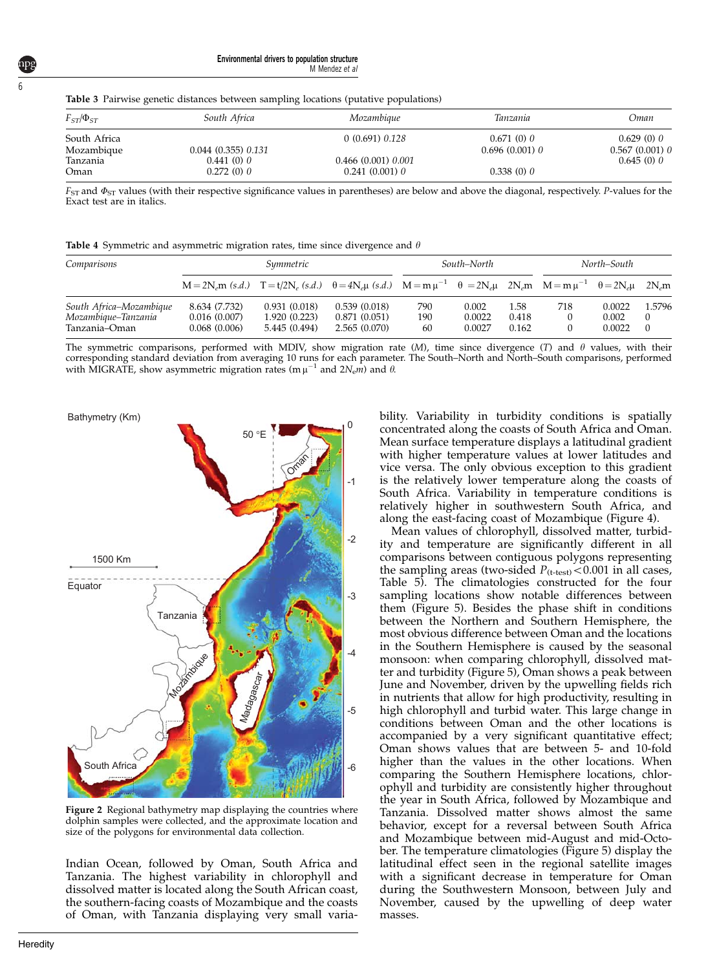Environmental drivers to population structure M Mendez et al

<span id="page-5-0"></span>Table 3 Pairwise genetic distances between sampling locations (putative populations)

| $F_{ST}/\Phi_{ST}$ | South Africa      | Mozambique        | Tanzania         | Oman             |
|--------------------|-------------------|-------------------|------------------|------------------|
| South Africa       |                   | 0(0.691) 0.128    | 0.671(0)0        | 0.629(0)0        |
| Mozambique         | 0.044(0.355)0.131 |                   | $0.696(0.001)$ 0 | $0.567(0.001)$ 0 |
| Tanzania           | 0.441(0)0         | 0.466(0.001)0.001 |                  | 0.645(0)0        |
| Oman               | 0.272(0)0         | $0.241(0.001)$ 0  | 0.338(0)0        |                  |

 $F_{ST}$  and  $\Phi_{ST}$  values (with their respective significance values in parentheses) are below and above the diagonal, respectively. P-values for the Exact test are in italics.

|  | <b>Table 4</b> Symmetric and asymmetric migration rates, time since divergence and $\theta$ |  |  |  |  |  |  |  |  |
|--|---------------------------------------------------------------------------------------------|--|--|--|--|--|--|--|--|
|--|---------------------------------------------------------------------------------------------|--|--|--|--|--|--|--|--|

| Comparisons                          |                                                                                                                                                                | Symmetric                     |                              | North–South<br>South–North |                  |                |     |                 |                      |
|--------------------------------------|----------------------------------------------------------------------------------------------------------------------------------------------------------------|-------------------------------|------------------------------|----------------------------|------------------|----------------|-----|-----------------|----------------------|
|                                      | $M = 2N_e m$ (s.d.) $T = t/2N_e$ (s.d.) $\theta = 4N_e \mu$ (s.d.) $M = m \mu^{-1}$ $\theta = 2N_e \mu$ $2N_e m$ $M = m \mu^{-1}$ $\theta = 2N_e \mu$ $2N_e m$ |                               |                              |                            |                  |                |     |                 |                      |
| South Africa-Mozambique              | 8.634 (7.732)                                                                                                                                                  | 0.931(0.018)                  | 0.539(0.018)                 | 790                        | 0.002            | 1.58           | 718 | 0.0022          | 1.5796               |
| Mozambique–Tanzania<br>Tanzania–Oman | 0.016(0.007)<br>0.068(0.006)                                                                                                                                   | 1.920(0.223)<br>5.445 (0.494) | 0.871(0.051)<br>2.565(0.070) | 190<br>60                  | 0.0022<br>0.0027 | 0.418<br>0.162 |     | 0.002<br>0.0022 | $\left($<br>$\Omega$ |

The symmetric comparisons, performed with MDIV, show migration rate  $(M)$ , time since divergence  $(T)$  and  $\theta$  values, with their corresponding standard deviation from averaging 10 runs for each parameter. The South–North and North–South comparisons, performed with MIGRATE, show asymmetric migration rates (m  $\mu^{-1}$  and  $2N_{\rm e}m$ ) and  $\theta$ .



Figure 2 Regional bathymetry map displaying the countries where dolphin samples were collected, and the approximate location and size of the polygons for environmental data collection.

Indian Ocean, followed by Oman, South Africa and Tanzania. The highest variability in chlorophyll and dissolved matter is located along the South African coast, the southern-facing coasts of Mozambique and the coasts of Oman, with Tanzania displaying very small variability. Variability in turbidity conditions is spatially concentrated along the coasts of South Africa and Oman. Mean surface temperature displays a latitudinal gradient with higher temperature values at lower latitudes and vice versa. The only obvious exception to this gradient is the relatively lower temperature along the coasts of South Africa. Variability in temperature conditions is relatively higher in southwestern South Africa, and along the east-facing coast of Mozambique [\(Figure 4](#page-7-0)).

Mean values of chlorophyll, dissolved matter, turbidity and temperature are significantly different in all comparisons between contiguous polygons representing the sampling areas (two-sided  $P_{(t-test)} < 0.001$  in all cases, [Table 5](#page-7-0)). The climatologies constructed for the four sampling locations show notable differences between them [\(Figure 5\)](#page-8-0). Besides the phase shift in conditions between the Northern and Southern Hemisphere, the most obvious difference between Oman and the locations in the Southern Hemisphere is caused by the seasonal monsoon: when comparing chlorophyll, dissolved matter and turbidity ([Figure 5\)](#page-8-0), Oman shows a peak between June and November, driven by the upwelling fields rich in nutrients that allow for high productivity, resulting in high chlorophyll and turbid water. This large change in conditions between Oman and the other locations is accompanied by a very significant quantitative effect; Oman shows values that are between 5- and 10-fold higher than the values in the other locations. When comparing the Southern Hemisphere locations, chlorophyll and turbidity are consistently higher throughout the year in South Africa, followed by Mozambique and Tanzania. Dissolved matter shows almost the same behavior, except for a reversal between South Africa and Mozambique between mid-August and mid-October. The temperature climatologies ([Figure 5](#page-8-0)) display the latitudinal effect seen in the regional satellite images with a significant decrease in temperature for Oman during the Southwestern Monsoon, between July and November, caused by the upwelling of deep water masses.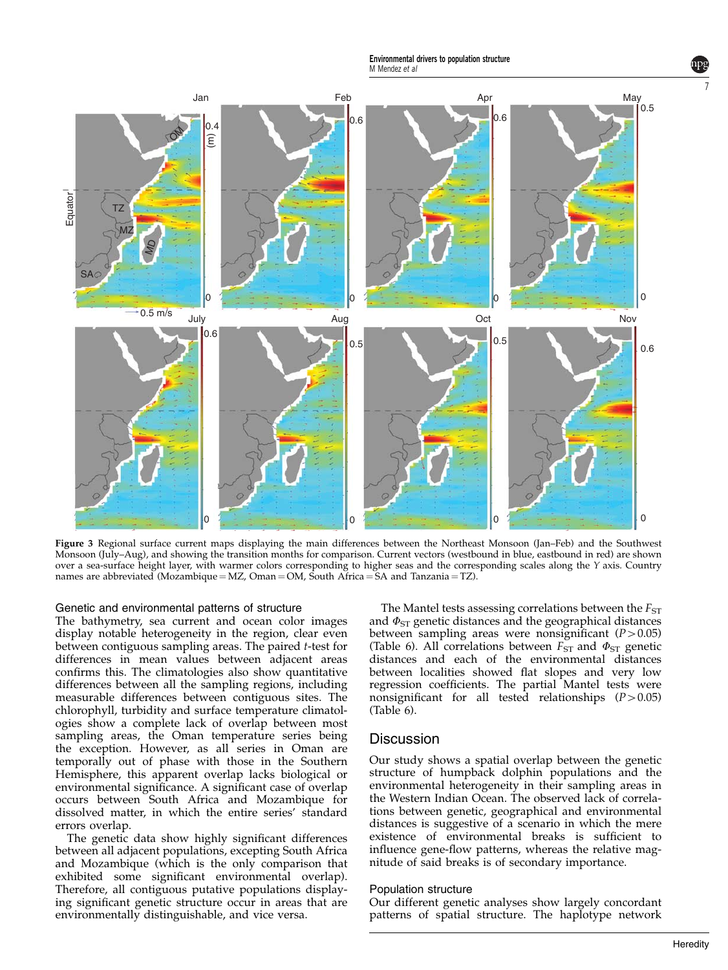Environmental drivers to population structure M Mendez et al.

<span id="page-6-0"></span>

Figure 3 Regional surface current maps displaying the main differences between the Northeast Monsoon (Jan–Feb) and the Southwest Monsoon (July–Aug), and showing the transition months for comparison. Current vectors (westbound in blue, eastbound in red) are shown over a sea-surface height layer, with warmer colors corresponding to higher seas and the corresponding scales along the Y axis. Country names are abbreviated (Mozambique = MZ, Oman = OM, South Africa = SA and Tanzania = TZ).

#### Genetic and environmental patterns of structure

The bathymetry, sea current and ocean color images display notable heterogeneity in the region, clear even between contiguous sampling areas. The paired t-test for differences in mean values between adjacent areas confirms this. The climatologies also show quantitative differences between all the sampling regions, including measurable differences between contiguous sites. The chlorophyll, turbidity and surface temperature climatologies show a complete lack of overlap between most sampling areas, the Oman temperature series being the exception. However, as all series in Oman are temporally out of phase with those in the Southern Hemisphere, this apparent overlap lacks biological or environmental significance. A significant case of overlap occurs between South Africa and Mozambique for dissolved matter, in which the entire series' standard errors overlap.

The genetic data show highly significant differences between all adjacent populations, excepting South Africa and Mozambique (which is the only comparison that exhibited some significant environmental overlap). Therefore, all contiguous putative populations displaying significant genetic structure occur in areas that are environmentally distinguishable, and vice versa.

The Mantel tests assessing correlations between the  $F_{ST}$ and  $\Phi_{ST}$  genetic distances and the geographical distances between sampling areas were nonsignificant  $(P>0.05)$ ([Table 6\)](#page-9-0). All correlations between  $F_{ST}$  and  $\Phi_{ST}$  genetic distances and each of the environmental distances between localities showed flat slopes and very low regression coefficients. The partial Mantel tests were nonsignificant for all tested relationships  $(P>0.05)$ ([Table 6\)](#page-9-0).

#### **Discussion**

Our study shows a spatial overlap between the genetic structure of humpback dolphin populations and the environmental heterogeneity in their sampling areas in the Western Indian Ocean. The observed lack of correlations between genetic, geographical and environmental distances is suggestive of a scenario in which the mere existence of environmental breaks is sufficient to influence gene-flow patterns, whereas the relative magnitude of said breaks is of secondary importance.

#### Population structure

Our different genetic analyses show largely concordant patterns of spatial structure. The haplotype network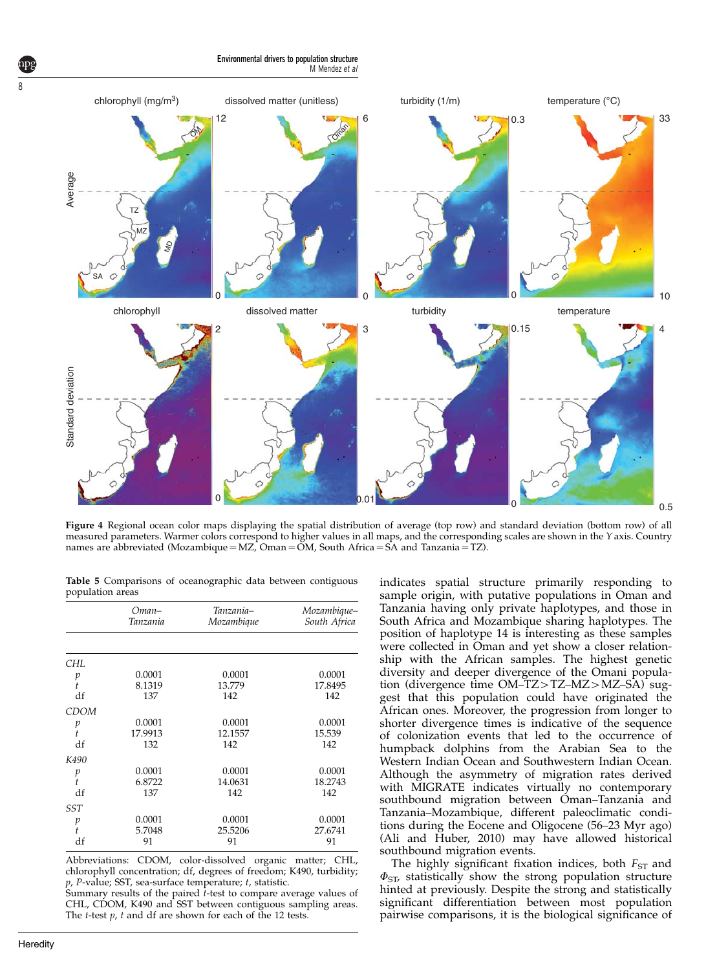Environmental drivers to population structure M Mendez et al

<span id="page-7-0"></span>

Figure 4 Regional ocean color maps displaying the spatial distribution of average (top row) and standard deviation (bottom row) of all measured parameters. Warmer colors correspond to higher values in all maps, and the corresponding scales are shown in the Y axis. Country names are abbreviated (Mozambique = MZ, Oman =  $\tilde{OM}$ , South Africa =  $\tilde{SA}$  and Tanzania = TZ).

Table 5 Comparisons of oceanographic data between contiguous population areas

|             | $O$ man-<br>Tanzania | Tanzania–<br>Mozambique | Mozambique–<br>South Africa |
|-------------|----------------------|-------------------------|-----------------------------|
|             |                      |                         |                             |
| CHL         |                      |                         |                             |
| p           | 0.0001               | 0.0001                  | 0.0001                      |
| $\ddot{t}$  | 8.1319               | 13.779                  | 17.8495                     |
| df          | 137                  | 142                     | 142                         |
| <b>CDOM</b> |                      |                         |                             |
| p           | 0.0001               | 0.0001                  | 0.0001                      |
| ŧ           | 17.9913              | 12.1557                 | 15.539                      |
| df          | 132                  | 142                     | 142                         |
| K490        |                      |                         |                             |
| p           | 0.0001               | 0.0001                  | 0.0001                      |
| t           | 6.8722               | 14.0631                 | 18.2743                     |
| df          | 137                  | 142                     | 142                         |
| SST         |                      |                         |                             |
| p           | 0.0001               | 0.0001                  | 0.0001                      |
| ŧ           | 5.7048               | 25.5206                 | 27.6741                     |
| df          | 91                   | 91                      | 91                          |

Abbreviations: CDOM, color-dissolved organic matter; CHL, chlorophyll concentration; df, degrees of freedom; K490, turbidity;  $p$ , P-value; SST, sea-surface temperature;  $t$ , statistic.

Summary results of the paired t-test to compare average values of CHL, CDOM, K490 and SST between contiguous sampling areas. The  $t$ -test  $p$ ,  $t$  and df are shown for each of the 12 tests.

indicates spatial structure primarily responding to sample origin, with putative populations in Oman and Tanzania having only private haplotypes, and those in South Africa and Mozambique sharing haplotypes. The position of haplotype 14 is interesting as these samples were collected in Oman and yet show a closer relationship with the African samples. The highest genetic diversity and deeper divergence of the Omani population (divergence time  $OM-TZ>TZ-MZ>MZ-SA$ ) suggest that this population could have originated the African ones. Moreover, the progression from longer to shorter divergence times is indicative of the sequence of colonization events that led to the occurrence of humpback dolphins from the Arabian Sea to the Western Indian Ocean and Southwestern Indian Ocean. Although the asymmetry of migration rates derived with MIGRATE indicates virtually no contemporary southbound migration between Oman–Tanzania and Tanzania–Mozambique, different paleoclimatic conditions during the Eocene and Oligocene (56–23 Myr ago) ([Ali and Huber, 2010](#page-11-0)) may have allowed historical southbound migration events.

The highly significant fixation indices, both  $F_{ST}$  and  $\Phi_{ST}$ , statistically show the strong population structure hinted at previously. Despite the strong and statistically significant differentiation between most population pairwise comparisons, it is the biological significance of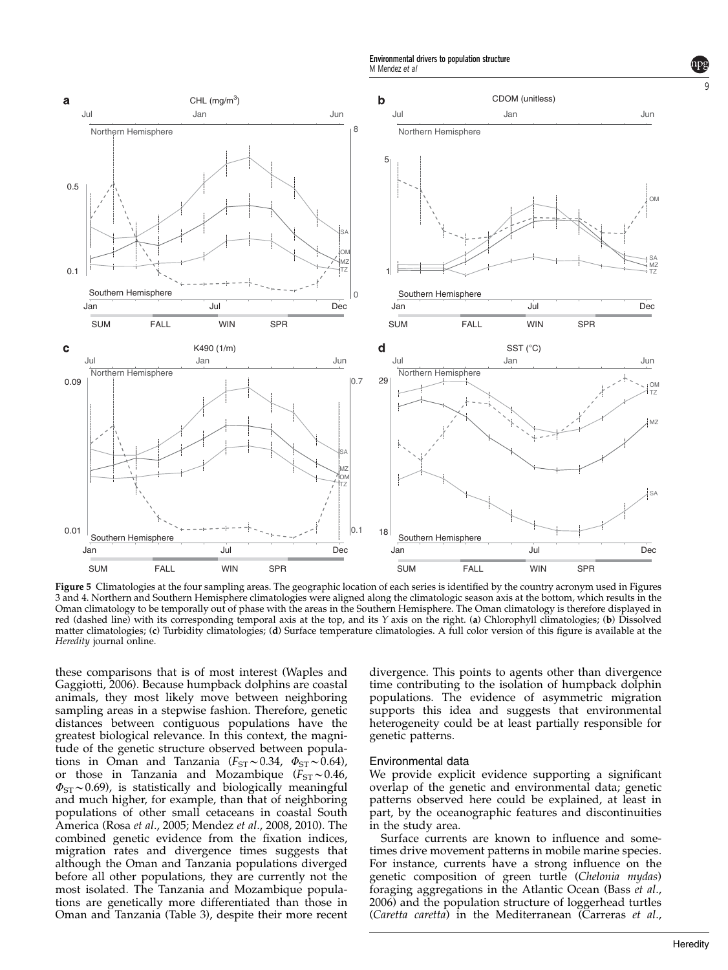Environmental drivers to population structure M Mendez et al.

<span id="page-8-0"></span>

Figure 5 Climatologies at the four sampling areas. The geographic location of each series is identified by the country acronym used in [Figures](#page-6-0) [3 and 4.](#page-6-0) Northern and Southern Hemisphere climatologies were aligned along the climatologic season axis at the bottom, which results in the Oman climatology to be temporally out of phase with the areas in the Southern Hemisphere. The Oman climatology is therefore displayed in red (dashed line) with its corresponding temporal axis at the top, and its Y axis on the right. (a) Chlorophyll climatologies; (b) Dissolved matter climatologies; (c) Turbidity climatologies; (d) Surface temperature climatologies. A full color version of this figure is available at the Heredity journal online.

these comparisons that is of most interest [\(Waples and](#page-12-0) [Gaggiotti, 2006](#page-12-0)). Because humpback dolphins are coastal animals, they most likely move between neighboring sampling areas in a stepwise fashion. Therefore, genetic distances between contiguous populations have the greatest biological relevance. In this context, the magnitude of the genetic structure observed between populations in Oman and Tanzania ( $F_{ST} \sim 0.34$ ,  $\Phi_{ST} \sim 0.64$ ), or those in Tanzania and Mozambique ( $F_{ST} \sim 0.46$ ,  $\Phi_{ST}$  ~0.69), is statistically and biologically meaningful and much higher, for example, than that of neighboring populations of other small cetaceans in coastal South America (Rosa et al[., 2005](#page-12-0); Mendez et al[., 2008, 2010](#page-12-0)). The combined genetic evidence from the fixation indices, migration rates and divergence times suggests that although the Oman and Tanzania populations diverged before all other populations, they are currently not the most isolated. The Tanzania and Mozambique populations are genetically more differentiated than those in Oman and Tanzania [\(Table 3](#page-5-0)), despite their more recent divergence. This points to agents other than divergence time contributing to the isolation of humpback dolphin populations. The evidence of asymmetric migration supports this idea and suggests that environmental heterogeneity could be at least partially responsible for genetic patterns.

#### Environmental data

We provide explicit evidence supporting a significant overlap of the genetic and environmental data; genetic patterns observed here could be explained, at least in part, by the oceanographic features and discontinuities in the study area.

Surface currents are known to influence and sometimes drive movement patterns in mobile marine species. For instance, currents have a strong influence on the genetic composition of green turtle (Chelonia mydas) foraging aggregations in the Atlantic Ocean [\(Bass](#page-11-0) et al., [2006](#page-11-0)) and the population structure of loggerhead turtles (Caretta caretta) in the Mediterranean [\(Carreras](#page-11-0) et al.,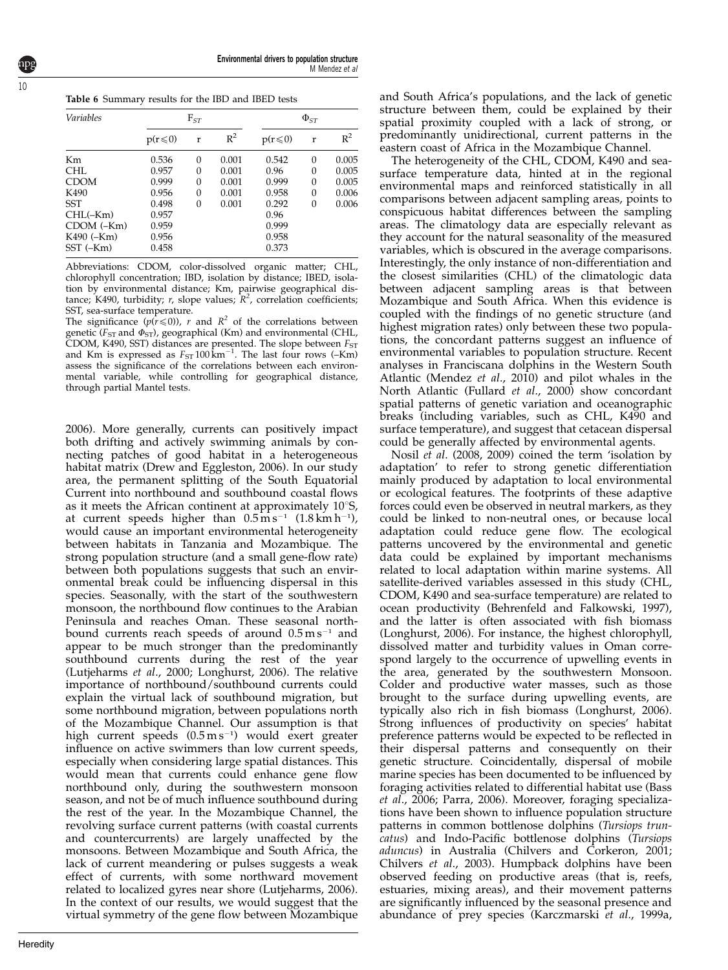<span id="page-9-0"></span>

|  | Table 6 Summary results for the IBD and IBED tests |  |  |  |
|--|----------------------------------------------------|--|--|--|
|--|----------------------------------------------------|--|--|--|

| <b>Variables</b> |              | $F_{ST}$ |       | $\Phi_{ST}$  |          |       |
|------------------|--------------|----------|-------|--------------|----------|-------|
|                  | $p(r \le 0)$ | r        | $R^2$ | $p(r \le 0)$ | r        | $R^2$ |
| Km               | 0.536        | 0        | 0.001 | 0.542        | 0        | 0.005 |
| CHL              | 0.957        | 0        | 0.001 | 0.96         | 0        | 0.005 |
| <b>CDOM</b>      | 0.999        | 0        | 0.001 | 0.999        | $\Omega$ | 0.005 |
| K490             | 0.956        | $\Omega$ | 0.001 | 0.958        | 0        | 0.006 |
| <b>SST</b>       | 0.498        | $\Omega$ | 0.001 | 0.292        | $\Omega$ | 0.006 |
| $CHL(-Km)$       | 0.957        |          |       | 0.96         |          |       |
| $CDOM$ $(-Km)$   | 0.959        |          |       | 0.999        |          |       |
| $K490$ ( $-Km$ ) | 0.956        |          |       | 0.958        |          |       |
| SST (-Km)        | 0.458        |          |       | 0.373        |          |       |

Abbreviations: CDOM, color-dissolved organic matter; CHL, chlorophyll concentration; IBD, isolation by distance; IBED, isolation by environmental distance; Km, pairwise geographical distance; K490, turbidity;  $r$ , slope values;  $R^2$ , correlation coefficients; SST, sea-surface temperature.

The significance  $(p(r \le 0))$ , r and  $R^2$  of the correlations between genetic ( $F_{ST}$  and  $\Phi_{ST}$ ), geographical (Km) and environmental (CHL, CDOM, K490, SST) distances are presented. The slope between  $F_{\rm ST}$  and Km is expressed as  $F_{\rm ST}$  100 km<sup>-1</sup>. The last four rows (–Km) assess the significance of the correlations between each environmental variable, while controlling for geographical distance, through partial Mantel tests.

[2006\)](#page-11-0). More generally, currents can positively impact both drifting and actively swimming animals by connecting patches of good habitat in a heterogeneous habitat matrix ([Drew and Eggleston, 2006](#page-11-0)). In our study area, the permanent splitting of the South Equatorial Current into northbound and southbound coastal flows as it meets the African continent at approximately  $10^{\circ}$ S, at current speeds higher than  $0.5 \,\mathrm{m\,s^{-1}}$   $(1.8 \,\mathrm{km\,h^{-1}})$ , would cause an important environmental heterogeneity between habitats in Tanzania and Mozambique. The strong population structure (and a small gene-flow rate) between both populations suggests that such an environmental break could be influencing dispersal in this species. Seasonally, with the start of the southwestern monsoon, the northbound flow continues to the Arabian Peninsula and reaches Oman. These seasonal northbound currents reach speeds of around  $0.5 \,\mathrm{m\,s^{-1}}$  and appear to be much stronger than the predominantly southbound currents during the rest of the year ([Lutjeharms](#page-12-0) et al., 2000; [Longhurst, 2006](#page-12-0)). The relative importance of northbound/southbound currents could explain the virtual lack of southbound migration, but some northbound migration, between populations north of the Mozambique Channel. Our assumption is that high current speeds (0.5 m s<sup>-1</sup>) would exert greater influence on active swimmers than low current speeds, especially when considering large spatial distances. This would mean that currents could enhance gene flow northbound only, during the southwestern monsoon season, and not be of much influence southbound during the rest of the year. In the Mozambique Channel, the revolving surface current patterns (with coastal currents and countercurrents) are largely unaffected by the monsoons. Between Mozambique and South Africa, the lack of current meandering or pulses suggests a weak effect of currents, with some northward movement related to localized gyres near shore [\(Lutjeharms, 2006](#page-12-0)). In the context of our results, we would suggest that the virtual symmetry of the gene flow between Mozambique

The heterogeneity of the CHL, CDOM, K490 and seasurface temperature data, hinted at in the regional environmental maps and reinforced statistically in all comparisons between adjacent sampling areas, points to conspicuous habitat differences between the sampling areas. The climatology data are especially relevant as they account for the natural seasonality of the measured variables, which is obscured in the average comparisons. Interestingly, the only instance of non-differentiation and the closest similarities (CHL) of the climatologic data between adjacent sampling areas is that between Mozambique and South Africa. When this evidence is coupled with the findings of no genetic structure (and highest migration rates) only between these two populations, the concordant patterns suggest an influence of environmental variables to population structure. Recent analyses in Franciscana dolphins in the Western South Atlantic [\(Mendez](#page-12-0) et al., 2010) and pilot whales in the North Atlantic [\(Fullard](#page-11-0) et al., 2000) show concordant spatial patterns of genetic variation and oceanographic breaks (including variables, such as CHL, K490 and surface temperature), and suggest that cetacean dispersal could be generally affected by environmental agents.

Nosil et al[. \(2008, 2009\)](#page-12-0) coined the term 'isolation by adaptation' to refer to strong genetic differentiation mainly produced by adaptation to local environmental or ecological features. The footprints of these adaptive forces could even be observed in neutral markers, as they could be linked to non-neutral ones, or because local adaptation could reduce gene flow. The ecological patterns uncovered by the environmental and genetic data could be explained by important mechanisms related to local adaptation within marine systems. All satellite-derived variables assessed in this study (CHL, CDOM, K490 and sea-surface temperature) are related to ocean productivity ([Behrenfeld and Falkowski, 1997](#page-11-0)), and the latter is often associated with fish biomass ([Longhurst, 2006](#page-12-0)). For instance, the highest chlorophyll, dissolved matter and turbidity values in Oman correspond largely to the occurrence of upwelling events in the area, generated by the southwestern Monsoon. Colder and productive water masses, such as those brought to the surface during upwelling events, are typically also rich in fish biomass ([Longhurst, 2006](#page-12-0)). Strong influences of productivity on species' habitat preference patterns would be expected to be reflected in their dispersal patterns and consequently on their genetic structure. Coincidentally, dispersal of mobile marine species has been documented to be influenced by foraging activities related to differential habitat use [\(Bass](#page-11-0) et al[., 2006](#page-11-0); [Parra, 2006](#page-12-0)). Moreover, foraging specializations have been shown to influence population structure patterns in common bottlenose dolphins (Tursiops truncatus) and Indo-Pacific bottlenose dolphins (Tursiops aduncus) in Australia ([Chilvers and Corkeron, 2001;](#page-11-0) [Chilvers](#page-11-0) et al., 2003). Humpback dolphins have been observed feeding on productive areas (that is, reefs, estuaries, mixing areas), and their movement patterns are significantly influenced by the seasonal presence and abundance of prey species [\(Karczmarski](#page-11-0) et al., 1999a,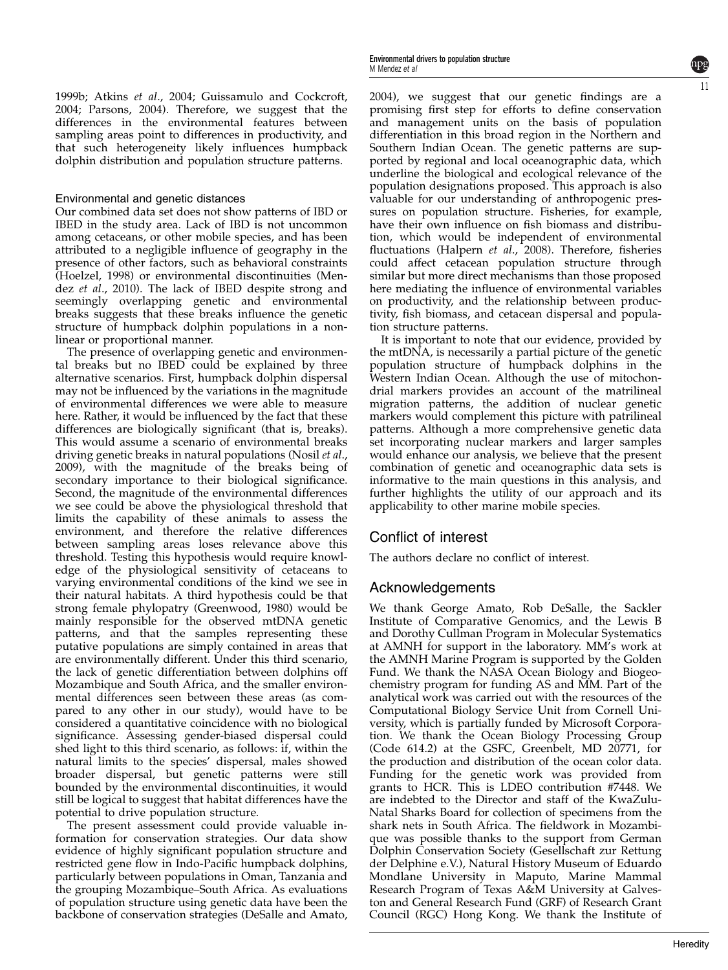[1999b;](#page-11-0) Atkins et al[., 2004](#page-11-0); [Guissamulo and Cockcroft,](#page-11-0) [2004](#page-11-0); [Parsons, 2004\)](#page-12-0). Therefore, we suggest that the differences in the environmental features between sampling areas point to differences in productivity, and that such heterogeneity likely influences humpback dolphin distribution and population structure patterns.

#### Environmental and genetic distances

Our combined data set does not show patterns of IBD or IBED in the study area. Lack of IBD is not uncommon among cetaceans, or other mobile species, and has been attributed to a negligible influence of geography in the presence of other factors, such as behavioral constraints [\(Hoelzel, 1998\)](#page-11-0) or environmental discontinuities [\(Men](#page-12-0)dez et al[., 2010](#page-12-0)). The lack of IBED despite strong and seemingly overlapping genetic and environmental breaks suggests that these breaks influence the genetic structure of humpback dolphin populations in a nonlinear or proportional manner.

The presence of overlapping genetic and environmental breaks but no IBED could be explained by three alternative scenarios. First, humpback dolphin dispersal may not be influenced by the variations in the magnitude of environmental differences we were able to measure here. Rather, it would be influenced by the fact that these differences are biologically significant (that is, breaks). This would assume a scenario of environmental breaks driving genetic breaks in natural populations [\(Nosil](#page-12-0) et al., [2009](#page-12-0)), with the magnitude of the breaks being of secondary importance to their biological significance. Second, the magnitude of the environmental differences we see could be above the physiological threshold that limits the capability of these animals to assess the environment, and therefore the relative differences between sampling areas loses relevance above this threshold. Testing this hypothesis would require knowledge of the physiological sensitivity of cetaceans to varying environmental conditions of the kind we see in their natural habitats. A third hypothesis could be that strong female phylopatry ([Greenwood, 1980](#page-11-0)) would be mainly responsible for the observed mtDNA genetic patterns, and that the samples representing these putative populations are simply contained in areas that are environmentally different. Under this third scenario, the lack of genetic differentiation between dolphins off Mozambique and South Africa, and the smaller environmental differences seen between these areas (as compared to any other in our study), would have to be considered a quantitative coincidence with no biological significance. Assessing gender-biased dispersal could shed light to this third scenario, as follows: if, within the natural limits to the species' dispersal, males showed broader dispersal, but genetic patterns were still bounded by the environmental discontinuities, it would still be logical to suggest that habitat differences have the potential to drive population structure.

The present assessment could provide valuable information for conservation strategies. Our data show evidence of highly significant population structure and restricted gene flow in Indo-Pacific humpback dolphins, particularly between populations in Oman, Tanzania and the grouping Mozambique–South Africa. As evaluations of population structure using genetic data have been the backbone of conservation strategies ([DeSalle and Amato,](#page-11-0) [2004](#page-11-0)), we suggest that our genetic findings are a promising first step for efforts to define conservation and management units on the basis of population differentiation in this broad region in the Northern and Southern Indian Ocean. The genetic patterns are supported by regional and local oceanographic data, which underline the biological and ecological relevance of the population designations proposed. This approach is also valuable for our understanding of anthropogenic pressures on population structure. Fisheries, for example, have their own influence on fish biomass and distribution, which would be independent of environmental fluctuations [\(Halpern](#page-11-0) et al., 2008). Therefore, fisheries could affect cetacean population structure through similar but more direct mechanisms than those proposed here mediating the influence of environmental variables on productivity, and the relationship between productivity, fish biomass, and cetacean dispersal and population structure patterns.

It is important to note that our evidence, provided by the mtDNA, is necessarily a partial picture of the genetic population structure of humpback dolphins in the Western Indian Ocean. Although the use of mitochondrial markers provides an account of the matrilineal migration patterns, the addition of nuclear genetic markers would complement this picture with patrilineal patterns. Although a more comprehensive genetic data set incorporating nuclear markers and larger samples would enhance our analysis, we believe that the present combination of genetic and oceanographic data sets is informative to the main questions in this analysis, and further highlights the utility of our approach and its applicability to other marine mobile species.

## Conflict of interest

The authors declare no conflict of interest.

## Acknowledgements

We thank George Amato, Rob DeSalle, the Sackler Institute of Comparative Genomics, and the Lewis B and Dorothy Cullman Program in Molecular Systematics at AMNH for support in the laboratory. MM's work at the AMNH Marine Program is supported by the Golden Fund. We thank the NASA Ocean Biology and Biogeochemistry program for funding AS and MM. Part of the analytical work was carried out with the resources of the Computational Biology Service Unit from Cornell University, which is partially funded by Microsoft Corporation. We thank the Ocean Biology Processing Group (Code 614.2) at the GSFC, Greenbelt, MD 20771, for the production and distribution of the ocean color data. Funding for the genetic work was provided from grants to HCR. This is LDEO contribution #7448. We are indebted to the Director and staff of the KwaZulu-Natal Sharks Board for collection of specimens from the shark nets in South Africa. The fieldwork in Mozambique was possible thanks to the support from German Dolphin Conservation Society (Gesellschaft zur Rettung der Delphine e.V.), Natural History Museum of Eduardo Mondlane University in Maputo, Marine Mammal Research Program of Texas A&M University at Galveston and General Research Fund (GRF) of Research Grant Council (RGC) Hong Kong. We thank the Institute of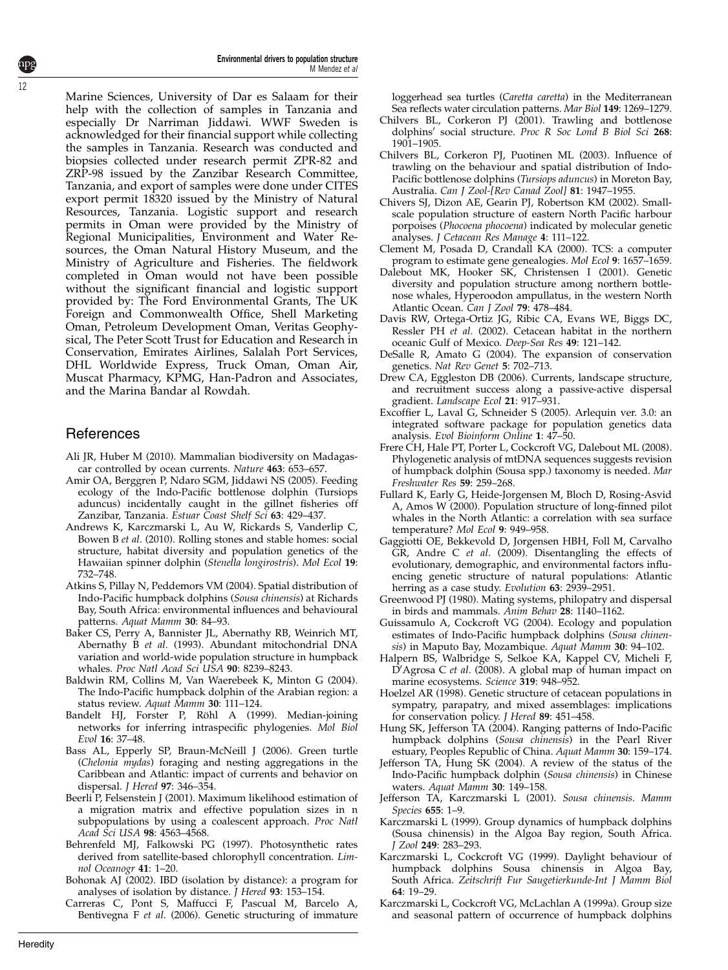Environmental drivers to population structure M Mendez et al

<span id="page-11-0"></span>Marine Sciences, University of Dar es Salaam for their help with the collection of samples in Tanzania and especially Dr Narriman Jiddawi. WWF Sweden is acknowledged for their financial support while collecting the samples in Tanzania. Research was conducted and biopsies collected under research permit ZPR-82 and ZRP-98 issued by the Zanzibar Research Committee, Tanzania, and export of samples were done under CITES export permit 18320 issued by the Ministry of Natural Resources, Tanzania. Logistic support and research permits in Oman were provided by the Ministry of Regional Municipalities, Environment and Water Resources, the Oman Natural History Museum, and the Ministry of Agriculture and Fisheries. The fieldwork completed in Oman would not have been possible without the significant financial and logistic support provided by: The Ford Environmental Grants, The UK Foreign and Commonwealth Office, Shell Marketing Oman, Petroleum Development Oman, Veritas Geophysical, The Peter Scott Trust for Education and Research in Conservation, Emirates Airlines, Salalah Port Services, DHL Worldwide Express, Truck Oman, Oman Air, Muscat Pharmacy, KPMG, Han-Padron and Associates, and the Marina Bandar al Rowdah.

## **References**

- Ali JR, Huber M (2010). Mammalian biodiversity on Madagascar controlled by ocean currents. Nature 463: 653–657.
- Amir OA, Berggren P, Ndaro SGM, Jiddawi NS (2005). Feeding ecology of the Indo-Pacific bottlenose dolphin (Tursiops aduncus) incidentally caught in the gillnet fisheries off Zanzibar, Tanzania. Estuar Coast Shelf Sci 63: 429–437.
- Andrews K, Karczmarski L, Au W, Rickards S, Vanderlip C, Bowen B et al. (2010). Rolling stones and stable homes: social structure, habitat diversity and population genetics of the Hawaiian spinner dolphin (Stenella longirostris). Mol Ecol 19: 732–748.
- Atkins S, Pillay N, Peddemors VM (2004). Spatial distribution of Indo-Pacific humpback dolphins (Sousa chinensis) at Richards Bay, South Africa: environmental influences and behavioural patterns. Aquat Mamm 30: 84–93.
- Baker CS, Perry A, Bannister JL, Abernathy RB, Weinrich MT, Abernathy B et al. (1993). Abundant mitochondrial DNA variation and world-wide population structure in humpback whales. Proc Natl Acad Sci USA 90: 8239–8243.
- Baldwin RM, Collins M, Van Waerebeek K, Minton G (2004). The Indo-Pacific humpback dolphin of the Arabian region: a status review. Aquat Mamm 30: 111–124.
- Bandelt HJ, Forster P, Röhl A (1999). Median-joining networks for inferring intraspecific phylogenies. Mol Biol Evol 16: 37–48.
- Bass AL, Epperly SP, Braun-McNeill J (2006). Green turtle (Chelonia mydas) foraging and nesting aggregations in the Caribbean and Atlantic: impact of currents and behavior on dispersal. J Hered 97: 346–354.
- Beerli P, Felsenstein J (2001). Maximum likelihood estimation of a migration matrix and effective population sizes in n subpopulations by using a coalescent approach. Proc Natl Acad Sci USA 98: 4563–4568.
- Behrenfeld MJ, Falkowski PG (1997). Photosynthetic rates derived from satellite-based chlorophyll concentration. Limnol Oceanogr 41: 1–20.
- Bohonak AJ (2002). IBD (isolation by distance): a program for analyses of isolation by distance. *J Hered* 93: 153–154.
- Carreras C, Pont S, Maffucci F, Pascual M, Barcelo A, Bentivegna F et al. (2006). Genetic structuring of immature

loggerhead sea turtles (Caretta caretta) in the Mediterranean Sea reflects water circulation patterns. Mar Biol 149: 1269–1279.

- Chilvers BL, Corkeron PJ (2001). Trawling and bottlenose dolphins' social structure. Proc R Soc Lond B Biol Sci 268: 1901–1905.
- Chilvers BL, Corkeron PJ, Puotinen ML (2003). Influence of trawling on the behaviour and spatial distribution of Indo-Pacific bottlenose dolphins (Tursiops aduncus) in Moreton Bay, Australia. Can J Zool-[Rev Canad Zool] 81: 1947-1955.
- Chivers SJ, Dizon AE, Gearin PJ, Robertson KM (2002). Smallscale population structure of eastern North Pacific harbour porpoises (Phocoena phocoena) indicated by molecular genetic analyses. J Cetacean Res Manage 4: 111–122.
- Clement M, Posada D, Crandall KA (2000). TCS: a computer program to estimate gene genealogies. Mol Ecol 9: 1657–1659.
- Dalebout MK, Hooker SK, Christensen I (2001). Genetic diversity and population structure among northern bottlenose whales, Hyperoodon ampullatus, in the western North Atlantic Ocean. Can J Zool 79: 478–484.
- Davis RW, Ortega-Ortiz JG, Ribic CA, Evans WE, Biggs DC, Ressler PH et al. (2002). Cetacean habitat in the northern oceanic Gulf of Mexico. Deep-Sea Res 49: 121-142.
- DeSalle R, Amato G (2004). The expansion of conservation genetics. Nat Rev Genet 5: 702–713.
- Drew CA, Eggleston DB (2006). Currents, landscape structure, and recruitment success along a passive-active dispersal gradient. Landscape Ecol 21: 917–931.
- Excoffier L, Laval G, Schneider S (2005). Arlequin ver. 3.0: an integrated software package for population genetics data analysis. Evol Bioinform Online 1: 47–50.
- Frere CH, Hale PT, Porter L, Cockcroft VG, Dalebout ML (2008). Phylogenetic analysis of mtDNA sequences suggests revision of humpback dolphin (Sousa spp.) taxonomy is needed. Mar Freshwater Res 59: 259–268.
- Fullard K, Early G, Heide-Jorgensen M, Bloch D, Rosing-Asvid A, Amos W (2000). Population structure of long-finned pilot whales in the North Atlantic: a correlation with sea surface temperature? Mol Ecol 9: 949–958.
- Gaggiotti OE, Bekkevold D, Jorgensen HBH, Foll M, Carvalho GR, Andre C et al. (2009). Disentangling the effects of evolutionary, demographic, and environmental factors influencing genetic structure of natural populations: Atlantic herring as a case study. Evolution 63: 2939–2951.
- Greenwood PJ (1980). Mating systems, philopatry and dispersal in birds and mammals. Anim Behav 28: 1140–1162.
- Guissamulo A, Cockcroft VG (2004). Ecology and population estimates of Indo-Pacific humpback dolphins (Sousa chinensis) in Maputo Bay, Mozambique. Aquat Mamm 30: 94–102.
- Halpern BS, Walbridge S, Selkoe KA, Kappel CV, Micheli F,  $\overline{D}'$ Agrosa C et al. (2008). A global map of human impact on marine ecosystems. Science 319: 948–952.
- Hoelzel AR (1998). Genetic structure of cetacean populations in sympatry, parapatry, and mixed assemblages: implications for conservation policy. *J Hered* 89: 451-458
- Hung SK, Jefferson TA (2004). Ranging patterns of Indo-Pacific humpback dolphins (Sousa chinensis) in the Pearl River estuary, Peoples Republic of China. Aquat Mamm 30: 159–174.
- Jefferson TA, Hung SK (2004). A review of the status of the Indo-Pacific humpback dolphin (Sousa chinensis) in Chinese waters. Aquat Mamm 30: 149–158.
- Jefferson TA, Karczmarski L (2001). Sousa chinensis. Mamm Species 655: 1–9.
- Karczmarski L (1999). Group dynamics of humpback dolphins (Sousa chinensis) in the Algoa Bay region, South Africa. J Zool 249: 283–293.
- Karczmarski L, Cockcroft VG (1999). Daylight behaviour of humpback dolphins Sousa chinensis in Algoa Bay, South Africa. Zeitschrift Fur Saugetierkunde-Int J Mamm Biol 64: 19–29.
- Karczmarski L, Cockcroft VG, McLachlan A (1999a). Group size and seasonal pattern of occurrence of humpback dolphins